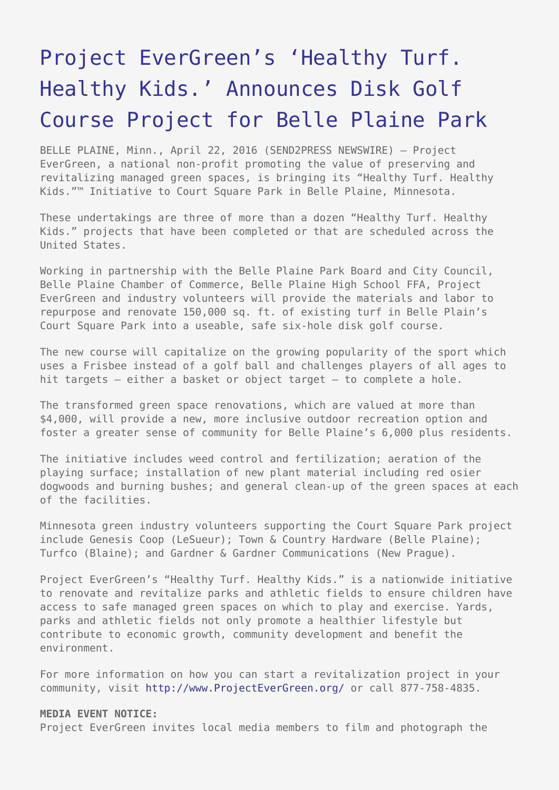## [Project EverGreen's 'Healthy Turf.](https://www.send2press.com/wire/project-evergreen-healthy-turf-healthy-kids-announces-disk-golf-course-project-for-belle-plaine-park-2016-0422-01/) [Healthy Kids.' Announces Disk Golf](https://www.send2press.com/wire/project-evergreen-healthy-turf-healthy-kids-announces-disk-golf-course-project-for-belle-plaine-park-2016-0422-01/) [Course Project for Belle Plaine Park](https://www.send2press.com/wire/project-evergreen-healthy-turf-healthy-kids-announces-disk-golf-course-project-for-belle-plaine-park-2016-0422-01/)

BELLE PLAINE, Minn., April 22, 2016 (SEND2PRESS NEWSWIRE) — Project EverGreen, a national non-profit promoting the value of preserving and revitalizing managed green spaces, is bringing its "Healthy Turf. Healthy Kids."™ Initiative to Court Square Park in Belle Plaine, Minnesota.

These undertakings are three of more than a dozen "Healthy Turf. Healthy Kids." projects that have been completed or that are scheduled across the United States.

Working in partnership with the Belle Plaine Park Board and City Council, Belle Plaine Chamber of Commerce, Belle Plaine High School FFA, Project EverGreen and industry volunteers will provide the materials and labor to repurpose and renovate 150,000 sq. ft. of existing turf in Belle Plain's Court Square Park into a useable, safe six-hole disk golf course.

The new course will capitalize on the growing popularity of the sport which uses a Frisbee instead of a golf ball and challenges players of all ages to hit targets – either a basket or object target – to complete a hole.

The transformed green space renovations, which are valued at more than \$4,000, will provide a new, more inclusive outdoor recreation option and foster a greater sense of community for Belle Plaine's 6,000 plus residents.

The initiative includes weed control and fertilization; aeration of the playing surface; installation of new plant material including red osier dogwoods and burning bushes; and general clean-up of the green spaces at each of the facilities.

Minnesota green industry volunteers supporting the Court Square Park project include Genesis Coop (LeSueur); Town & Country Hardware (Belle Plaine); Turfco (Blaine); and Gardner & Gardner Communications (New Prague).

Project EverGreen's "Healthy Turf. Healthy Kids." is a nationwide initiative to renovate and revitalize parks and athletic fields to ensure children have access to safe managed green spaces on which to play and exercise. Yards, parks and athletic fields not only promote a healthier lifestyle but contribute to economic growth, community development and benefit the environment.

For more information on how you can start a revitalization project in your community, visit<http://www.ProjectEverGreen.org/>or call 877-758-4835.

## **MEDIA EVENT NOTICE:**

Project EverGreen invites local media members to film and photograph the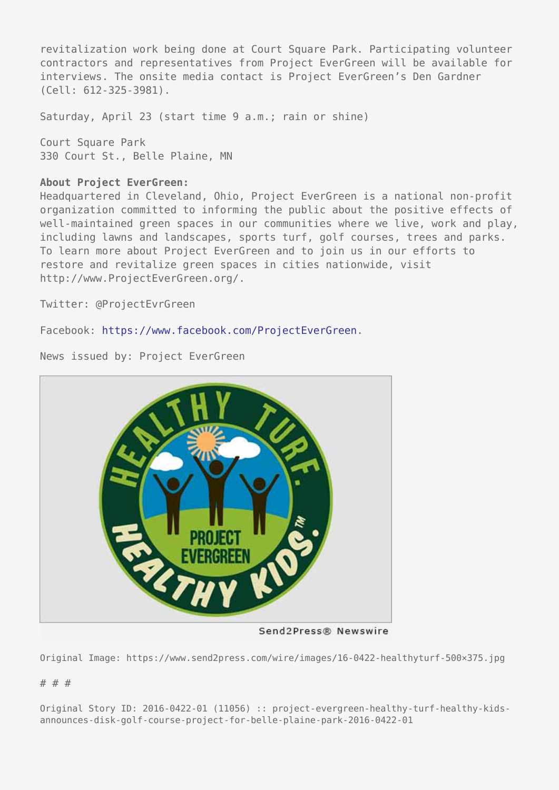revitalization work being done at Court Square Park. Participating volunteer contractors and representatives from Project EverGreen will be available for interviews. The onsite media contact is Project EverGreen's Den Gardner (Cell: 612-325-3981).

Saturday, April 23 (start time 9 a.m.; rain or shine)

Court Square Park 330 Court St., Belle Plaine, MN

## **About Project EverGreen:**

Headquartered in Cleveland, Ohio, Project EverGreen is a national non-profit organization committed to informing the public about the positive effects of well-maintained green spaces in our communities where we live, work and play, including lawns and landscapes, sports turf, golf courses, trees and parks. To learn more about Project EverGreen and to join us in our efforts to restore and revitalize green spaces in cities nationwide, visit http://www.ProjectEverGreen.org/.

Twitter: @ProjectEvrGreen

Facebook: <https://www.facebook.com/ProjectEverGreen>.

News issued by: Project EverGreen



Send2Press® Newswire

Original Image: https://www.send2press.com/wire/images/16-0422-healthyturf-500×375.jpg

## # # #

Original Story ID: 2016-0422-01 (11056) :: project-evergreen-healthy-turf-healthy-kidsannounces-disk-golf-course-project-for-belle-plaine-park-2016-0422-01